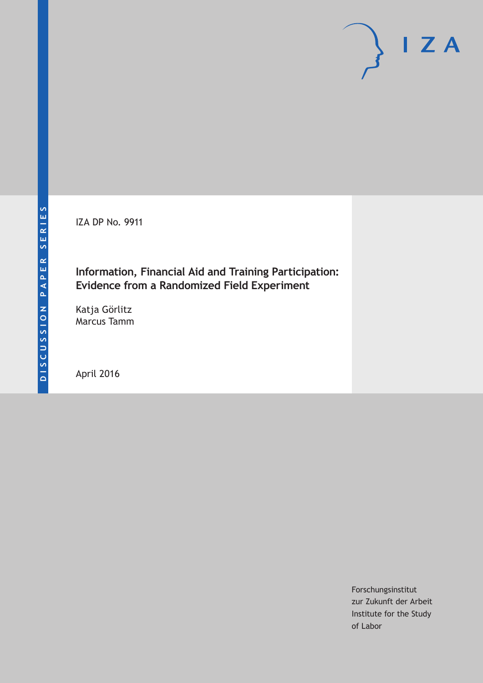IZA DP No. 9911

### **Information, Financial Aid and Training Participation: Evidence from a Randomized Field Experiment**

Katja Görlitz Marcus Tamm

April 2016

Forschungsinstitut zur Zukunft der Arbeit Institute for the Study of Labor

 $I Z A$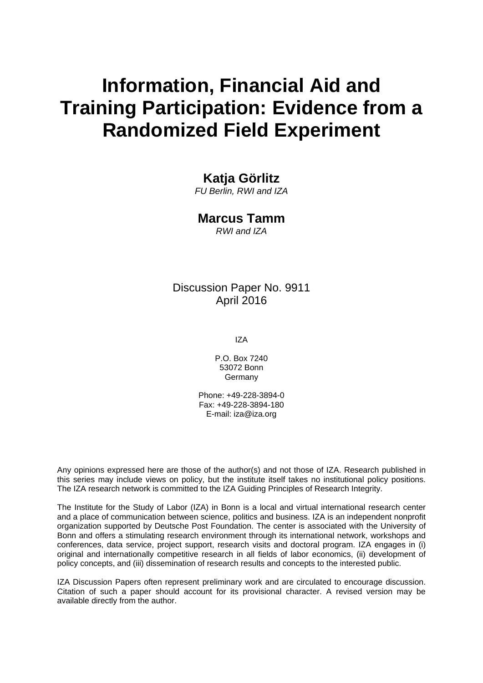# **Information, Financial Aid and Training Participation: Evidence from a Randomized Field Experiment**

### **Katja Görlitz**

*FU Berlin, RWI and IZA* 

### **Marcus Tamm**

*RWI and IZA* 

### Discussion Paper No. 9911 April 2016

IZA

P.O. Box 7240 53072 Bonn Germany

Phone: +49-228-3894-0 Fax: +49-228-3894-180 E-mail: iza@iza.org

Any opinions expressed here are those of the author(s) and not those of IZA. Research published in this series may include views on policy, but the institute itself takes no institutional policy positions. The IZA research network is committed to the IZA Guiding Principles of Research Integrity.

The Institute for the Study of Labor (IZA) in Bonn is a local and virtual international research center and a place of communication between science, politics and business. IZA is an independent nonprofit organization supported by Deutsche Post Foundation. The center is associated with the University of Bonn and offers a stimulating research environment through its international network, workshops and conferences, data service, project support, research visits and doctoral program. IZA engages in (i) original and internationally competitive research in all fields of labor economics, (ii) development of policy concepts, and (iii) dissemination of research results and concepts to the interested public.

IZA Discussion Papers often represent preliminary work and are circulated to encourage discussion. Citation of such a paper should account for its provisional character. A revised version may be available directly from the author.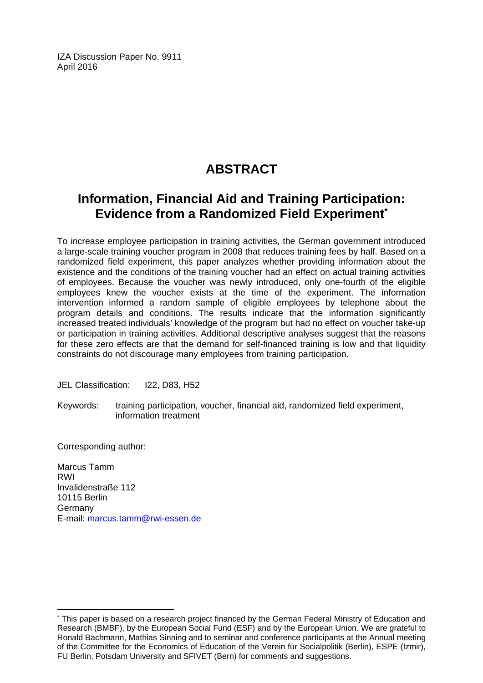IZA Discussion Paper No. 9911 April 2016

# **ABSTRACT**

# **Information, Financial Aid and Training Participation: Evidence from a Randomized Field Experiment\***

To increase employee participation in training activities, the German government introduced a large-scale training voucher program in 2008 that reduces training fees by half. Based on a randomized field experiment, this paper analyzes whether providing information about the existence and the conditions of the training voucher had an effect on actual training activities of employees. Because the voucher was newly introduced, only one-fourth of the eligible employees knew the voucher exists at the time of the experiment. The information intervention informed a random sample of eligible employees by telephone about the program details and conditions. The results indicate that the information significantly increased treated individuals' knowledge of the program but had no effect on voucher take-up or participation in training activities. Additional descriptive analyses suggest that the reasons for these zero effects are that the demand for self-financed training is low and that liquidity constraints do not discourage many employees from training participation.

JEL Classification: I22, D83, H52

Keywords: training participation, voucher, financial aid, randomized field experiment, information treatment

Corresponding author:

 $\overline{a}$ 

Marcus Tamm RWI Invalidenstraße 112 10115 Berlin Germany E-mail: marcus.tamm@rwi-essen.de

<sup>\*</sup> This paper is based on a research project financed by the German Federal Ministry of Education and Research (BMBF), by the European Social Fund (ESF) and by the European Union. We are grateful to Ronald Bachmann, Mathias Sinning and to seminar and conference participants at the Annual meeting of the Committee for the Economics of Education of the Verein für Socialpolitik (Berlin), ESPE (Izmir), FU Berlin, Potsdam University and SFIVET (Bern) for comments and suggestions.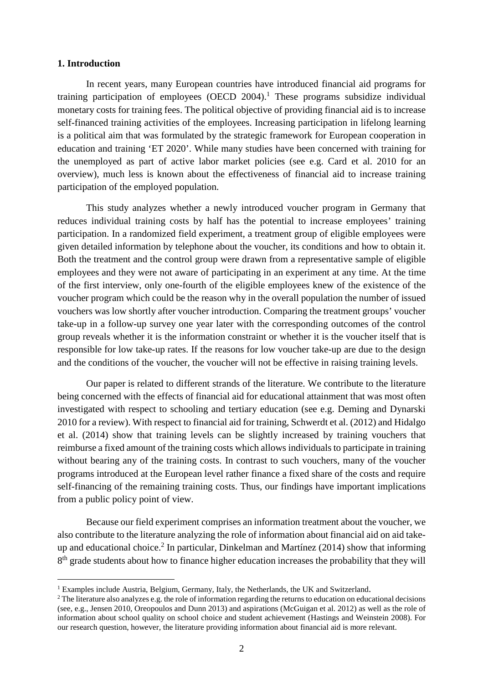#### **1. Introduction**

l

In recent years, many European countries have introduced financial aid programs for training participation of employees (OECD 2004).<sup>1</sup> These programs subsidize individual monetary costs for training fees. The political objective of providing financial aid is to increase self-financed training activities of the employees. Increasing participation in lifelong learning is a political aim that was formulated by the strategic framework for European cooperation in education and training 'ET 2020'. While many studies have been concerned with training for the unemployed as part of active labor market policies (see e.g. Card et al. 2010 for an overview), much less is known about the effectiveness of financial aid to increase training participation of the employed population.

This study analyzes whether a newly introduced voucher program in Germany that reduces individual training costs by half has the potential to increase employees' training participation. In a randomized field experiment, a treatment group of eligible employees were given detailed information by telephone about the voucher, its conditions and how to obtain it. Both the treatment and the control group were drawn from a representative sample of eligible employees and they were not aware of participating in an experiment at any time. At the time of the first interview, only one-fourth of the eligible employees knew of the existence of the voucher program which could be the reason why in the overall population the number of issued vouchers was low shortly after voucher introduction. Comparing the treatment groups' voucher take-up in a follow-up survey one year later with the corresponding outcomes of the control group reveals whether it is the information constraint or whether it is the voucher itself that is responsible for low take-up rates. If the reasons for low voucher take-up are due to the design and the conditions of the voucher, the voucher will not be effective in raising training levels.

Our paper is related to different strands of the literature. We contribute to the literature being concerned with the effects of financial aid for educational attainment that was most often investigated with respect to schooling and tertiary education (see e.g. Deming and Dynarski 2010 for a review). With respect to financial aid for training, Schwerdt et al. (2012) and Hidalgo et al. (2014) show that training levels can be slightly increased by training vouchers that reimburse a fixed amount of the training costs which allows individuals to participate in training without bearing any of the training costs. In contrast to such vouchers, many of the voucher programs introduced at the European level rather finance a fixed share of the costs and require self-financing of the remaining training costs. Thus, our findings have important implications from a public policy point of view.

Because our field experiment comprises an information treatment about the voucher, we also contribute to the literature analyzing the role of information about financial aid on aid takeup and educational choice.<sup>2</sup> In particular, Dinkelman and Martínez (2014) show that informing 8<sup>th</sup> grade students about how to finance higher education increases the probability that they will

<sup>&</sup>lt;sup>1</sup> Examples include Austria, Belgium, Germany, Italy, the Netherlands, the UK and Switzerland.

 $2$  The literature also analyzes e.g. the role of information regarding the returns to education on educational decisions (see, e.g., Jensen 2010, Oreopoulos and Dunn 2013) and aspirations (McGuigan et al. 2012) as well as the role of information about school quality on school choice and student achievement (Hastings and Weinstein 2008). For our research question, however, the literature providing information about financial aid is more relevant.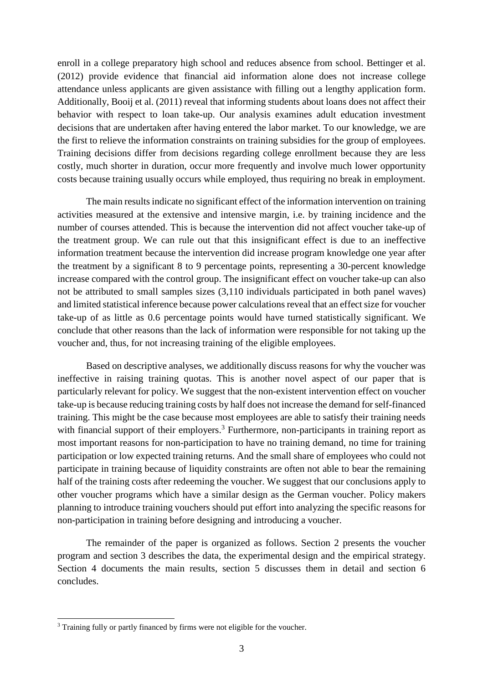enroll in a college preparatory high school and reduces absence from school. Bettinger et al. (2012) provide evidence that financial aid information alone does not increase college attendance unless applicants are given assistance with filling out a lengthy application form. Additionally, Booij et al. (2011) reveal that informing students about loans does not affect their behavior with respect to loan take-up. Our analysis examines adult education investment decisions that are undertaken after having entered the labor market. To our knowledge, we are the first to relieve the information constraints on training subsidies for the group of employees. Training decisions differ from decisions regarding college enrollment because they are less costly, much shorter in duration, occur more frequently and involve much lower opportunity costs because training usually occurs while employed, thus requiring no break in employment.

The main results indicate no significant effect of the information intervention on training activities measured at the extensive and intensive margin, i.e. by training incidence and the number of courses attended. This is because the intervention did not affect voucher take-up of the treatment group. We can rule out that this insignificant effect is due to an ineffective information treatment because the intervention did increase program knowledge one year after the treatment by a significant 8 to 9 percentage points, representing a 30-percent knowledge increase compared with the control group. The insignificant effect on voucher take-up can also not be attributed to small samples sizes (3,110 individuals participated in both panel waves) and limited statistical inference because power calculations reveal that an effect size for voucher take-up of as little as 0.6 percentage points would have turned statistically significant. We conclude that other reasons than the lack of information were responsible for not taking up the voucher and, thus, for not increasing training of the eligible employees.

Based on descriptive analyses, we additionally discuss reasons for why the voucher was ineffective in raising training quotas. This is another novel aspect of our paper that is particularly relevant for policy. We suggest that the non-existent intervention effect on voucher take-up is because reducing training costs by half does not increase the demand for self-financed training. This might be the case because most employees are able to satisfy their training needs with financial support of their employers.<sup>3</sup> Furthermore, non-participants in training report as most important reasons for non-participation to have no training demand, no time for training participation or low expected training returns. And the small share of employees who could not participate in training because of liquidity constraints are often not able to bear the remaining half of the training costs after redeeming the voucher. We suggest that our conclusions apply to other voucher programs which have a similar design as the German voucher. Policy makers planning to introduce training vouchers should put effort into analyzing the specific reasons for non-participation in training before designing and introducing a voucher.

The remainder of the paper is organized as follows. Section 2 presents the voucher program and section 3 describes the data, the experimental design and the empirical strategy. Section 4 documents the main results, section 5 discusses them in detail and section 6 concludes.

-

<sup>&</sup>lt;sup>3</sup> Training fully or partly financed by firms were not eligible for the voucher.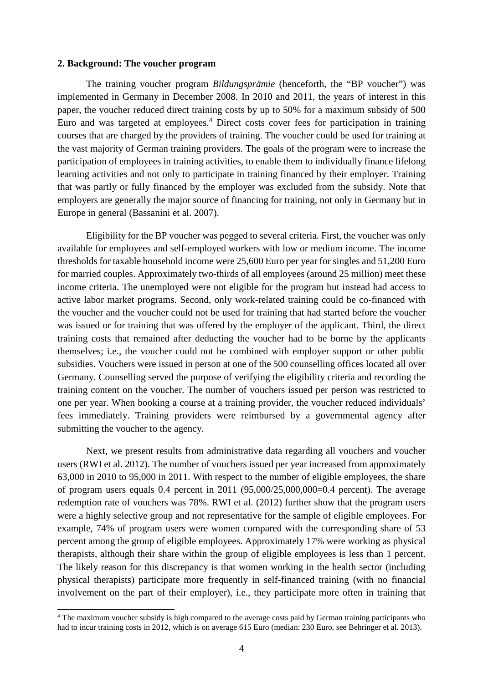#### **2. Background: The voucher program**

The training voucher program *Bildungsprämie* (henceforth, the "BP voucher") was implemented in Germany in December 2008. In 2010 and 2011, the years of interest in this paper, the voucher reduced direct training costs by up to 50% for a maximum subsidy of 500 Euro and was targeted at employees.<sup>4</sup> Direct costs cover fees for participation in training courses that are charged by the providers of training. The voucher could be used for training at the vast majority of German training providers. The goals of the program were to increase the participation of employees in training activities, to enable them to individually finance lifelong learning activities and not only to participate in training financed by their employer. Training that was partly or fully financed by the employer was excluded from the subsidy. Note that employers are generally the major source of financing for training, not only in Germany but in Europe in general (Bassanini et al. 2007).

Eligibility for the BP voucher was pegged to several criteria. First, the voucher was only available for employees and self-employed workers with low or medium income. The income thresholds for taxable household income were 25,600 Euro per year for singles and 51,200 Euro for married couples. Approximately two-thirds of all employees (around 25 million) meet these income criteria. The unemployed were not eligible for the program but instead had access to active labor market programs. Second, only work-related training could be co-financed with the voucher and the voucher could not be used for training that had started before the voucher was issued or for training that was offered by the employer of the applicant. Third, the direct training costs that remained after deducting the voucher had to be borne by the applicants themselves; i.e., the voucher could not be combined with employer support or other public subsidies. Vouchers were issued in person at one of the 500 counselling offices located all over Germany. Counselling served the purpose of verifying the eligibility criteria and recording the training content on the voucher. The number of vouchers issued per person was restricted to one per year. When booking a course at a training provider, the voucher reduced individuals' fees immediately. Training providers were reimbursed by a governmental agency after submitting the voucher to the agency.

Next, we present results from administrative data regarding all vouchers and voucher users (RWI et al. 2012). The number of vouchers issued per year increased from approximately 63,000 in 2010 to 95,000 in 2011. With respect to the number of eligible employees, the share of program users equals  $0.4$  percent in  $2011$   $(95,000/25,000,000=0.4$  percent). The average redemption rate of vouchers was 78%. RWI et al. (2012) further show that the program users were a highly selective group and not representative for the sample of eligible employees. For example, 74% of program users were women compared with the corresponding share of 53 percent among the group of eligible employees. Approximately 17% were working as physical therapists, although their share within the group of eligible employees is less than 1 percent. The likely reason for this discrepancy is that women working in the health sector (including physical therapists) participate more frequently in self-financed training (with no financial involvement on the part of their employer), i.e., they participate more often in training that

-

<sup>&</sup>lt;sup>4</sup> The maximum voucher subsidy is high compared to the average costs paid by German training participants who had to incur training costs in 2012, which is on average 615 Euro (median: 230 Euro, see Behringer et al. 2013).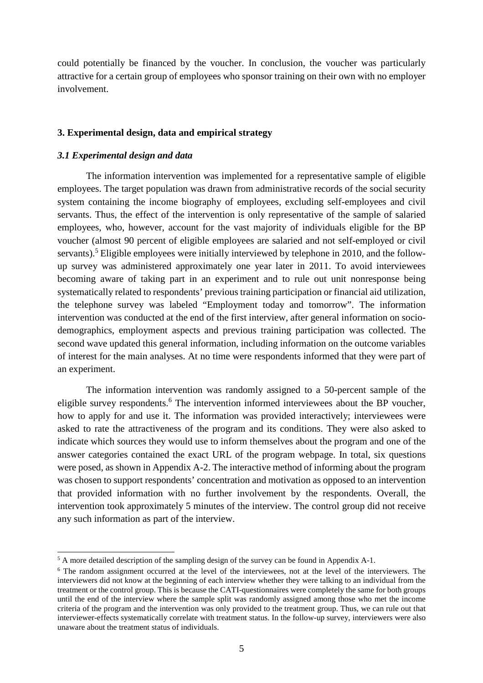could potentially be financed by the voucher. In conclusion, the voucher was particularly attractive for a certain group of employees who sponsor training on their own with no employer involvement.

#### **3. Experimental design, data and empirical strategy**

#### *3.1 Experimental design and data*

l

The information intervention was implemented for a representative sample of eligible employees. The target population was drawn from administrative records of the social security system containing the income biography of employees, excluding self-employees and civil servants. Thus, the effect of the intervention is only representative of the sample of salaried employees, who, however, account for the vast majority of individuals eligible for the BP voucher (almost 90 percent of eligible employees are salaried and not self-employed or civil servants).<sup>5</sup> Eligible employees were initially interviewed by telephone in 2010, and the followup survey was administered approximately one year later in 2011. To avoid interviewees becoming aware of taking part in an experiment and to rule out unit nonresponse being systematically related to respondents' previous training participation or financial aid utilization, the telephone survey was labeled "Employment today and tomorrow". The information intervention was conducted at the end of the first interview, after general information on sociodemographics, employment aspects and previous training participation was collected. The second wave updated this general information, including information on the outcome variables of interest for the main analyses. At no time were respondents informed that they were part of an experiment.

The information intervention was randomly assigned to a 50-percent sample of the eligible survey respondents.<sup>6</sup> The intervention informed interviewees about the BP voucher, how to apply for and use it. The information was provided interactively; interviewees were asked to rate the attractiveness of the program and its conditions. They were also asked to indicate which sources they would use to inform themselves about the program and one of the answer categories contained the exact URL of the program webpage. In total, six questions were posed, as shown in Appendix A-2. The interactive method of informing about the program was chosen to support respondents' concentration and motivation as opposed to an intervention that provided information with no further involvement by the respondents. Overall, the intervention took approximately 5 minutes of the interview. The control group did not receive any such information as part of the interview.

<sup>&</sup>lt;sup>5</sup> A more detailed description of the sampling design of the survey can be found in Appendix A-1.

<sup>&</sup>lt;sup>6</sup> The random assignment occurred at the level of the interviewees, not at the level of the interviewers. The interviewers did not know at the beginning of each interview whether they were talking to an individual from the treatment or the control group. This is because the CATI-questionnaires were completely the same for both groups until the end of the interview where the sample split was randomly assigned among those who met the income criteria of the program and the intervention was only provided to the treatment group. Thus, we can rule out that interviewer-effects systematically correlate with treatment status. In the follow-up survey, interviewers were also unaware about the treatment status of individuals.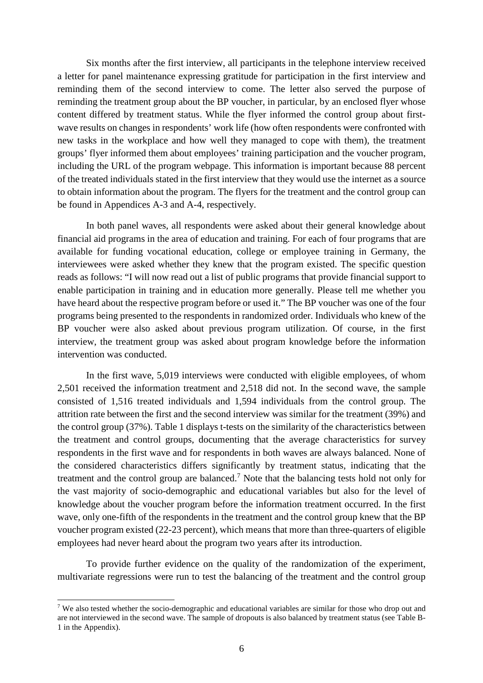Six months after the first interview, all participants in the telephone interview received a letter for panel maintenance expressing gratitude for participation in the first interview and reminding them of the second interview to come. The letter also served the purpose of reminding the treatment group about the BP voucher, in particular, by an enclosed flyer whose content differed by treatment status. While the flyer informed the control group about firstwave results on changes in respondents' work life (how often respondents were confronted with new tasks in the workplace and how well they managed to cope with them), the treatment groups' flyer informed them about employees' training participation and the voucher program, including the URL of the program webpage. This information is important because 88 percent of the treated individuals stated in the first interview that they would use the internet as a source to obtain information about the program. The flyers for the treatment and the control group can be found in Appendices A-3 and A-4, respectively.

In both panel waves, all respondents were asked about their general knowledge about financial aid programs in the area of education and training. For each of four programs that are available for funding vocational education, college or employee training in Germany, the interviewees were asked whether they knew that the program existed. The specific question reads as follows: "I will now read out a list of public programs that provide financial support to enable participation in training and in education more generally. Please tell me whether you have heard about the respective program before or used it." The BP voucher was one of the four programs being presented to the respondents in randomized order. Individuals who knew of the BP voucher were also asked about previous program utilization. Of course, in the first interview, the treatment group was asked about program knowledge before the information intervention was conducted.

In the first wave, 5,019 interviews were conducted with eligible employees, of whom 2,501 received the information treatment and 2,518 did not. In the second wave, the sample consisted of 1,516 treated individuals and 1,594 individuals from the control group. The attrition rate between the first and the second interview was similar for the treatment (39%) and the control group (37%). Table 1 displays t-tests on the similarity of the characteristics between the treatment and control groups, documenting that the average characteristics for survey respondents in the first wave and for respondents in both waves are always balanced. None of the considered characteristics differs significantly by treatment status, indicating that the treatment and the control group are balanced.<sup>7</sup> Note that the balancing tests hold not only for the vast majority of socio-demographic and educational variables but also for the level of knowledge about the voucher program before the information treatment occurred. In the first wave, only one-fifth of the respondents in the treatment and the control group knew that the BP voucher program existed (22-23 percent), which means that more than three-quarters of eligible employees had never heard about the program two years after its introduction.

To provide further evidence on the quality of the randomization of the experiment, multivariate regressions were run to test the balancing of the treatment and the control group

-

<sup>&</sup>lt;sup>7</sup> We also tested whether the socio-demographic and educational variables are similar for those who drop out and are not interviewed in the second wave. The sample of dropouts is also balanced by treatment status (see Table B-1 in the Appendix).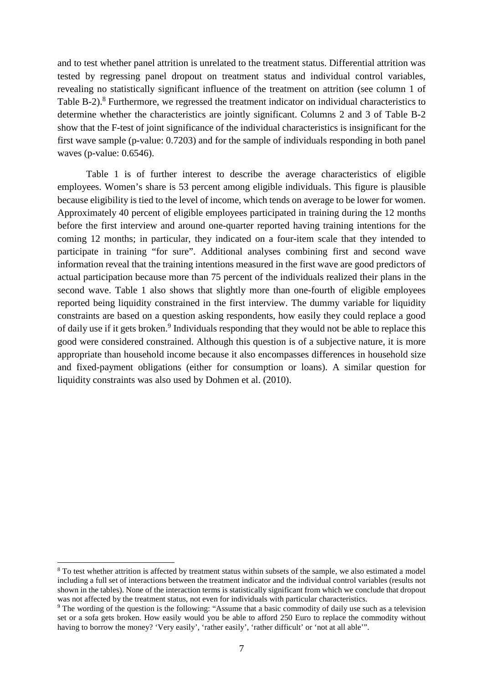and to test whether panel attrition is unrelated to the treatment status. Differential attrition was tested by regressing panel dropout on treatment status and individual control variables, revealing no statistically significant influence of the treatment on attrition (see column 1 of Table B-2).<sup>8</sup> Furthermore, we regressed the treatment indicator on individual characteristics to determine whether the characteristics are jointly significant. Columns 2 and 3 of Table B-2 show that the F-test of joint significance of the individual characteristics is insignificant for the first wave sample (p-value: 0.7203) and for the sample of individuals responding in both panel waves (p-value: 0.6546).

Table 1 is of further interest to describe the average characteristics of eligible employees. Women's share is 53 percent among eligible individuals. This figure is plausible because eligibility is tied to the level of income, which tends on average to be lower for women. Approximately 40 percent of eligible employees participated in training during the 12 months before the first interview and around one-quarter reported having training intentions for the coming 12 months; in particular, they indicated on a four-item scale that they intended to participate in training "for sure". Additional analyses combining first and second wave information reveal that the training intentions measured in the first wave are good predictors of actual participation because more than 75 percent of the individuals realized their plans in the second wave. Table 1 also shows that slightly more than one-fourth of eligible employees reported being liquidity constrained in the first interview. The dummy variable for liquidity constraints are based on a question asking respondents, how easily they could replace a good of daily use if it gets broken.<sup>9</sup> Individuals responding that they would not be able to replace this good were considered constrained. Although this question is of a subjective nature, it is more appropriate than household income because it also encompasses differences in household size and fixed-payment obligations (either for consumption or loans). A similar question for liquidity constraints was also used by Dohmen et al. (2010).

-

<sup>&</sup>lt;sup>8</sup> To test whether attrition is affected by treatment status within subsets of the sample, we also estimated a model including a full set of interactions between the treatment indicator and the individual control variables (results not shown in the tables). None of the interaction terms is statistically significant from which we conclude that dropout was not affected by the treatment status, not even for individuals with particular characteristics.

<sup>&</sup>lt;sup>9</sup> The wording of the question is the following: "Assume that a basic commodity of daily use such as a television set or a sofa gets broken. How easily would you be able to afford 250 Euro to replace the commodity without having to borrow the money? 'Very easily', 'rather easily', 'rather difficult' or 'not at all able'".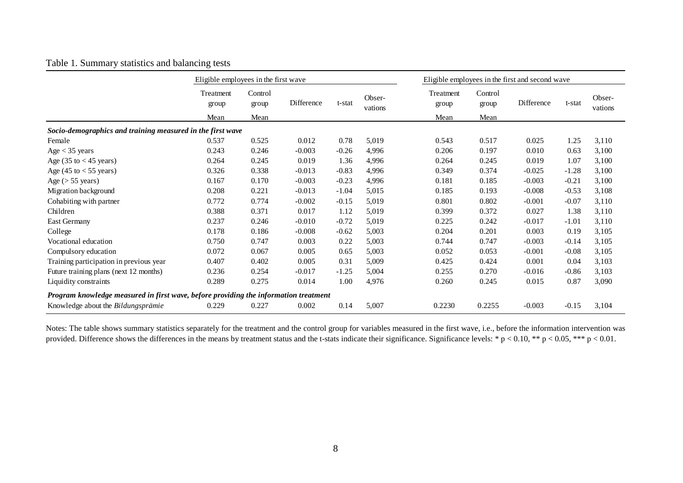|                                                                                      | Eligible employees in the first wave |                  |            | Eligible employees in the first and second wave |                   |                    |                  |            |         |                   |
|--------------------------------------------------------------------------------------|--------------------------------------|------------------|------------|-------------------------------------------------|-------------------|--------------------|------------------|------------|---------|-------------------|
|                                                                                      | Treatment<br>group                   | Control<br>group | Difference | t-stat                                          | Obser-<br>vations | Treatment<br>group | Control<br>group | Difference | t-stat  | Obser-<br>vations |
|                                                                                      | Mean                                 | Mean             |            |                                                 | Mean              | Mean               |                  |            |         |                   |
| Socio-demographics and training measured in the first wave                           |                                      |                  |            |                                                 |                   |                    |                  |            |         |                   |
| Female                                                                               | 0.537                                | 0.525            | 0.012      | 0.78                                            | 5,019             | 0.543              | 0.517            | 0.025      | 1.25    | 3,110             |
| Age $<$ 35 years                                                                     | 0.243                                | 0.246            | $-0.003$   | $-0.26$                                         | 4,996             | 0.206              | 0.197            | 0.010      | 0.63    | 3,100             |
| Age $(35 \text{ to } < 45 \text{ years})$                                            | 0.264                                | 0.245            | 0.019      | 1.36                                            | 4,996             | 0.264              | 0.245            | 0.019      | 1.07    | 3,100             |
| Age $(45 \text{ to} < 55 \text{ years})$                                             | 0.326                                | 0.338            | $-0.013$   | $-0.83$                                         | 4,996             | 0.349              | 0.374            | $-0.025$   | $-1.28$ | 3,100             |
| Age ( $> 55$ years)                                                                  | 0.167                                | 0.170            | $-0.003$   | $-0.23$                                         | 4,996             | 0.181              | 0.185            | $-0.003$   | $-0.21$ | 3,100             |
| Migration background                                                                 | 0.208                                | 0.221            | $-0.013$   | $-1.04$                                         | 5,015             | 0.185              | 0.193            | $-0.008$   | $-0.53$ | 3,108             |
| Cohabiting with partner                                                              | 0.772                                | 0.774            | $-0.002$   | $-0.15$                                         | 5,019             | 0.801              | 0.802            | $-0.001$   | $-0.07$ | 3,110             |
| Children                                                                             | 0.388                                | 0.371            | 0.017      | 1.12                                            | 5,019             | 0.399              | 0.372            | 0.027      | 1.38    | 3,110             |
| <b>East Germany</b>                                                                  | 0.237                                | 0.246            | $-0.010$   | $-0.72$                                         | 5,019             | 0.225              | 0.242            | $-0.017$   | $-1.01$ | 3,110             |
| College                                                                              | 0.178                                | 0.186            | $-0.008$   | $-0.62$                                         | 5,003             | 0.204              | 0.201            | 0.003      | 0.19    | 3,105             |
| Vocational education                                                                 | 0.750                                | 0.747            | 0.003      | 0.22                                            | 5,003             | 0.744              | 0.747            | $-0.003$   | $-0.14$ | 3,105             |
| Compulsory education                                                                 | 0.072                                | 0.067            | 0.005      | 0.65                                            | 5,003             | 0.052              | 0.053            | $-0.001$   | $-0.08$ | 3,105             |
| Training participation in previous year                                              | 0.407                                | 0.402            | 0.005      | 0.31                                            | 5,009             | 0.425              | 0.424            | 0.001      | 0.04    | 3,103             |
| Future training plans (next 12 months)                                               | 0.236                                | 0.254            | $-0.017$   | $-1.25$                                         | 5,004             | 0.255              | 0.270            | $-0.016$   | $-0.86$ | 3,103             |
| Liquidity constraints                                                                | 0.289                                | 0.275            | 0.014      | 1.00                                            | 4,976             | 0.260              | 0.245            | 0.015      | 0.87    | 3,090             |
| Program knowledge measured in first wave, before providing the information treatment |                                      |                  |            |                                                 |                   |                    |                  |            |         |                   |
| Knowledge about the Bildungsprämie                                                   | 0.229                                | 0.227            | 0.002      | 0.14                                            | 5,007             | 0.2230             | 0.2255           | $-0.003$   | $-0.15$ | 3,104             |

#### Table 1. Summary statistics and balancing tests

Notes: The table shows summary statistics separately for the treatment and the control group for variables measured in the first wave, i.e., before the information intervention was provided. Difference shows the differences in the means by treatment status and the t-stats indicate their significance. Significance levels: \*  $p < 0.10$ , \*\*  $p < 0.05$ , \*\*\*  $p < 0.01$ .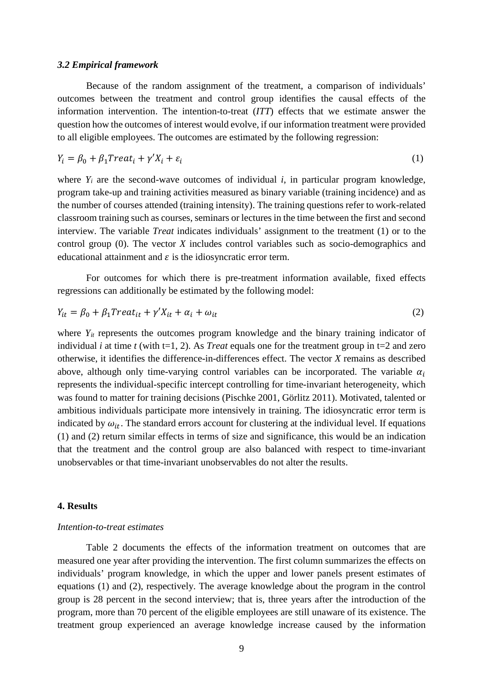#### *3.2 Empirical framework*

Because of the random assignment of the treatment, a comparison of individuals' outcomes between the treatment and control group identifies the causal effects of the information intervention. The intention-to-treat (*ITT*) effects that we estimate answer the question how the outcomes of interest would evolve, if our information treatment were provided to all eligible employees. The outcomes are estimated by the following regression:

$$
Y_i = \beta_0 + \beta_1 Treat_i + \gamma' X_i + \varepsilon_i \tag{1}
$$

where  $Y_i$  are the second-wave outcomes of individual  $i$ , in particular program knowledge, program take-up and training activities measured as binary variable (training incidence) and as the number of courses attended (training intensity). The training questions refer to work-related classroom training such as courses, seminars or lectures in the time between the first and second interview. The variable *Treat* indicates individuals' assignment to the treatment (1) or to the control group (0). The vector *X* includes control variables such as socio-demographics and educational attainment and  $\varepsilon$  is the idiosyncratic error term.

For outcomes for which there is pre-treatment information available, fixed effects regressions can additionally be estimated by the following model:

$$
Y_{it} = \beta_0 + \beta_1 Treat_{it} + \gamma' X_{it} + \alpha_i + \omega_{it}
$$
\n<sup>(2)</sup>

where  $Y_{it}$  represents the outcomes program knowledge and the binary training indicator of individual *i* at time *t* (with t=1, 2). As *Treat* equals one for the treatment group in t=2 and zero otherwise, it identifies the difference-in-differences effect. The vector *X* remains as described above, although only time-varying control variables can be incorporated. The variable  $\alpha_i$ represents the individual-specific intercept controlling for time-invariant heterogeneity, which was found to matter for training decisions (Pischke 2001, Görlitz 2011). Motivated, talented or ambitious individuals participate more intensively in training. The idiosyncratic error term is indicated by  $\omega_{it}$ . The standard errors account for clustering at the individual level. If equations (1) and (2) return similar effects in terms of size and significance, this would be an indication that the treatment and the control group are also balanced with respect to time-invariant unobservables or that time-invariant unobservables do not alter the results.

#### **4. Results**

#### *Intention-to-treat estimates*

Table 2 documents the effects of the information treatment on outcomes that are measured one year after providing the intervention. The first column summarizes the effects on individuals' program knowledge, in which the upper and lower panels present estimates of equations (1) and (2), respectively. The average knowledge about the program in the control group is 28 percent in the second interview; that is, three years after the introduction of the program, more than 70 percent of the eligible employees are still unaware of its existence. The treatment group experienced an average knowledge increase caused by the information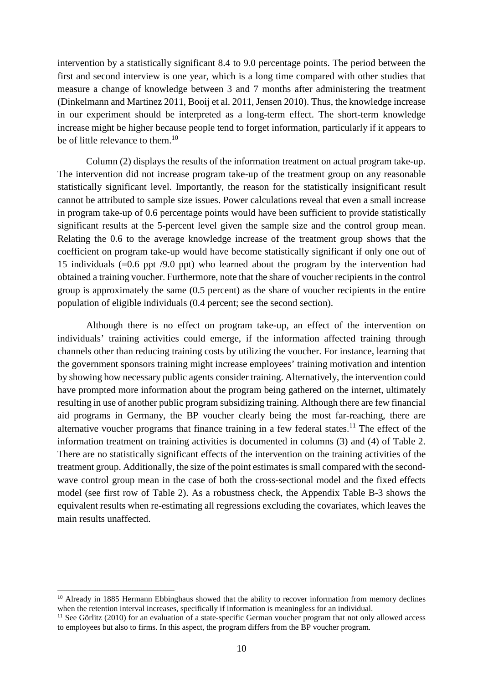intervention by a statistically significant 8.4 to 9.0 percentage points. The period between the first and second interview is one year, which is a long time compared with other studies that measure a change of knowledge between 3 and 7 months after administering the treatment (Dinkelmann and Martinez 2011, Booij et al. 2011, Jensen 2010). Thus, the knowledge increase in our experiment should be interpreted as a long-term effect. The short-term knowledge increase might be higher because people tend to forget information, particularly if it appears to be of little relevance to them.<sup>10</sup>

Column (2) displays the results of the information treatment on actual program take-up. The intervention did not increase program take-up of the treatment group on any reasonable statistically significant level. Importantly, the reason for the statistically insignificant result cannot be attributed to sample size issues. Power calculations reveal that even a small increase in program take-up of 0.6 percentage points would have been sufficient to provide statistically significant results at the 5-percent level given the sample size and the control group mean. Relating the 0.6 to the average knowledge increase of the treatment group shows that the coefficient on program take-up would have become statistically significant if only one out of 15 individuals (=0.6 ppt /9.0 ppt) who learned about the program by the intervention had obtained a training voucher. Furthermore, note that the share of voucher recipients in the control group is approximately the same (0.5 percent) as the share of voucher recipients in the entire population of eligible individuals (0.4 percent; see the second section).

Although there is no effect on program take-up, an effect of the intervention on individuals' training activities could emerge, if the information affected training through channels other than reducing training costs by utilizing the voucher. For instance, learning that the government sponsors training might increase employees' training motivation and intention by showing how necessary public agents consider training. Alternatively, the intervention could have prompted more information about the program being gathered on the internet, ultimately resulting in use of another public program subsidizing training. Although there are few financial aid programs in Germany, the BP voucher clearly being the most far-reaching, there are alternative voucher programs that finance training in a few federal states.<sup>11</sup> The effect of the information treatment on training activities is documented in columns (3) and (4) of Table 2. There are no statistically significant effects of the intervention on the training activities of the treatment group. Additionally, the size of the point estimates is small compared with the secondwave control group mean in the case of both the cross-sectional model and the fixed effects model (see first row of Table 2). As a robustness check, the Appendix Table B-3 shows the equivalent results when re-estimating all regressions excluding the covariates, which leaves the main results unaffected.

-

<sup>&</sup>lt;sup>10</sup> Already in 1885 Hermann Ebbinghaus showed that the ability to recover information from memory declines when the retention interval increases, specifically if information is meaningless for an individual.

<sup>&</sup>lt;sup>11</sup> See Görlitz (2010) for an evaluation of a state-specific German voucher program that not only allowed access to employees but also to firms. In this aspect, the program differs from the BP voucher program.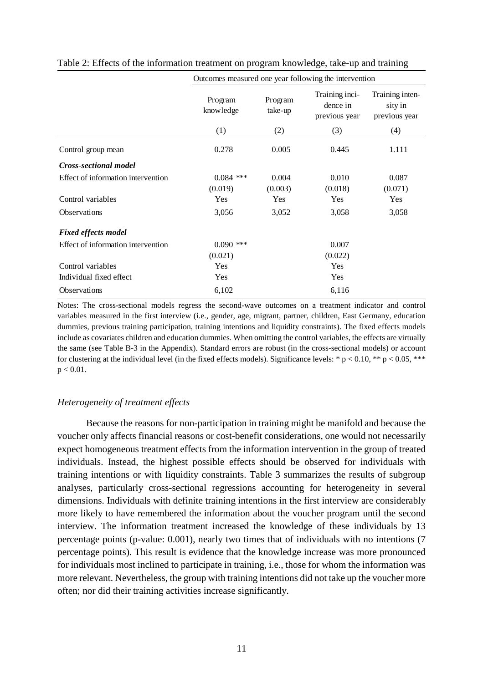|                                    |                      | Outcomes measured one year following the intervention |                                             |                                             |  |  |
|------------------------------------|----------------------|-------------------------------------------------------|---------------------------------------------|---------------------------------------------|--|--|
|                                    | Program<br>knowledge | Program<br>take-up                                    | Training inci-<br>dence in<br>previous year | Training inten-<br>sity in<br>previous year |  |  |
|                                    | (1)                  | (2)                                                   | (3)                                         | (4)                                         |  |  |
| Control group mean                 | 0.278                | 0.005                                                 | 0.445                                       | 1.111                                       |  |  |
| Cross-sectional model              |                      |                                                       |                                             |                                             |  |  |
| Effect of information intervention | $0.084$ ***          | 0.004                                                 | 0.010                                       | 0.087                                       |  |  |
|                                    | (0.019)              | (0.003)                                               | (0.018)                                     | (0.071)                                     |  |  |
| Control variables                  | <b>Yes</b>           | Yes                                                   | Yes                                         | Yes                                         |  |  |
| Observations                       | 3,056                | 3,052                                                 | 3,058                                       | 3,058                                       |  |  |
| <b>Fixed effects model</b>         |                      |                                                       |                                             |                                             |  |  |
| Effect of information intervention | $0.090$ ***          |                                                       | 0.007                                       |                                             |  |  |
|                                    | (0.021)              |                                                       | (0.022)                                     |                                             |  |  |
| Control variables                  | Yes                  |                                                       | Yes                                         |                                             |  |  |
| Individual fixed effect            | Yes                  |                                                       | Yes                                         |                                             |  |  |
| <b>Observations</b>                | 6,102                |                                                       | 6,116                                       |                                             |  |  |

Table 2: Effects of the information treatment on program knowledge, take-up and training

 $\Omega$  measured on year following the intervention of  $\Omega$ 

Notes: The cross-sectional models regress the second-wave outcomes on a treatment indicator and control variables measured in the first interview (i.e., gender, age, migrant, partner, children, East Germany, education dummies, previous training participation, training intentions and liquidity constraints). The fixed effects models include as covariates children and education dummies. When omitting the control variables, the effects are virtually the same (see Table B-3 in the Appendix). Standard errors are robust (in the cross-sectional models) or account for clustering at the individual level (in the fixed effects models). Significance levels: \*  $p < 0.10$ , \*\*  $p < 0.05$ , \*\*\*  $p < 0.01$ .

#### *Heterogeneity of treatment effects*

Because the reasons for non-participation in training might be manifold and because the voucher only affects financial reasons or cost-benefit considerations, one would not necessarily expect homogeneous treatment effects from the information intervention in the group of treated individuals. Instead, the highest possible effects should be observed for individuals with training intentions or with liquidity constraints. Table 3 summarizes the results of subgroup analyses, particularly cross-sectional regressions accounting for heterogeneity in several dimensions. Individuals with definite training intentions in the first interview are considerably more likely to have remembered the information about the voucher program until the second interview. The information treatment increased the knowledge of these individuals by 13 percentage points (p-value: 0.001), nearly two times that of individuals with no intentions (7 percentage points). This result is evidence that the knowledge increase was more pronounced for individuals most inclined to participate in training, i.e., those for whom the information was more relevant. Nevertheless, the group with training intentions did not take up the voucher more often; nor did their training activities increase significantly.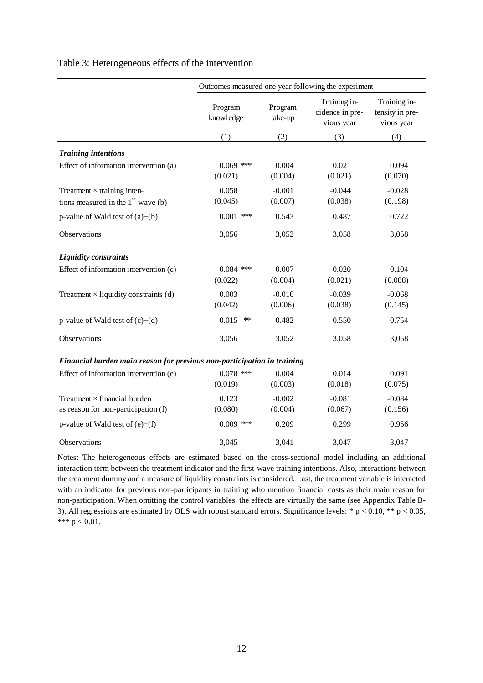|                                                                            | Outcomes measured one year following the experiment |                     |                                               |                                               |
|----------------------------------------------------------------------------|-----------------------------------------------------|---------------------|-----------------------------------------------|-----------------------------------------------|
|                                                                            | Program<br>knowledge                                | Program<br>take-up  | Training in-<br>cidence in pre-<br>vious year | Training in-<br>tensity in pre-<br>vious year |
|                                                                            | (1)                                                 | (2)                 | (3)                                           | (4)                                           |
| <b>Training intentions</b>                                                 |                                                     |                     |                                               |                                               |
| Effect of information intervention (a)                                     | $0.069$ ***<br>(0.021)                              | 0.004<br>(0.004)    | 0.021<br>(0.021)                              | 0.094<br>(0.070)                              |
| Treatment $\times$ training inten-<br>tions measured in the $1st$ wave (b) | 0.058<br>(0.045)                                    | $-0.001$<br>(0.007) | $-0.044$<br>(0.038)                           | $-0.028$<br>(0.198)                           |
| p-value of Wald test of $(a)+(b)$                                          | $0.001$ ***                                         | 0.543               | 0.487                                         | 0.722                                         |
| Observations                                                               | 3,056                                               | 3,052               | 3,058                                         | 3,058                                         |
| <b>Liquidity constraints</b>                                               |                                                     |                     |                                               |                                               |
| Effect of information intervention (c)                                     | $0.084$ ***<br>(0.022)                              | 0.007<br>(0.004)    | 0.020<br>(0.021)                              | 0.104<br>(0.088)                              |
| Treatment $\times$ liquidity constraints (d)                               | 0.003<br>(0.042)                                    | $-0.010$<br>(0.006) | $-0.039$<br>(0.038)                           | $-0.068$<br>(0.145)                           |
| p-value of Wald test of $(c)+(d)$                                          | 0.015<br>**                                         | 0.482               | 0.550                                         | 0.754                                         |
| Observations                                                               | 3,056                                               | 3,052               | 3,058                                         | 3,058                                         |
| Financial burden main reason for previous non-participation in training    |                                                     |                     |                                               |                                               |
| Effect of information intervention (e)                                     | $0.078$ ***<br>(0.019)                              | 0.004<br>(0.003)    | 0.014<br>(0.018)                              | 0.091<br>(0.075)                              |
| Treatment $\times$ financial burden<br>as reason for non-participation (f) | 0.123<br>(0.080)                                    | $-0.002$<br>(0.004) | $-0.081$<br>(0.067)                           | $-0.084$<br>(0.156)                           |
| p-value of Wald test of $(e)+(f)$                                          | $0.009$ ***                                         | 0.209               | 0.299                                         | 0.956                                         |
| Observations                                                               | 3,045                                               | 3,041               | 3,047                                         | 3,047                                         |

#### Table 3: Heterogeneous effects of the intervention

Notes: The heterogeneous effects are estimated based on the cross-sectional model including an additional interaction term between the treatment indicator and the first-wave training intentions. Also, interactions between the treatment dummy and a measure of liquidity constraints is considered. Last, the treatment variable is interacted with an indicator for previous non-participants in training who mention financial costs as their main reason for non-participation. When omitting the control variables, the effects are virtually the same (see Appendix Table B-3). All regressions are estimated by OLS with robust standard errors. Significance levels: \*  $p < 0.10$ , \*\*  $p < 0.05$ , \*\*\*  $p < 0.01$ .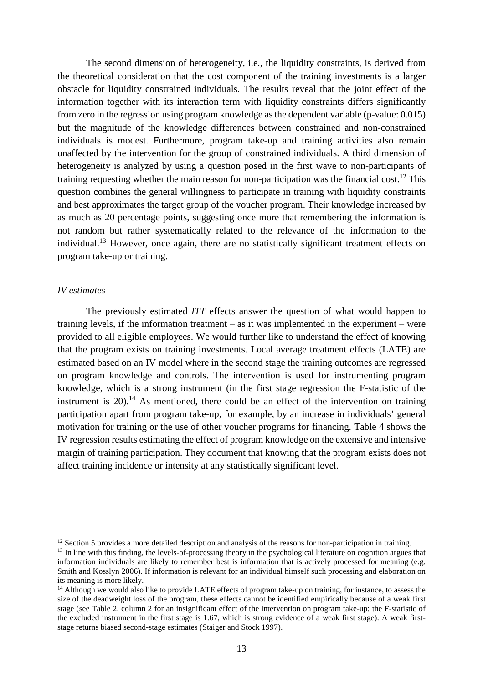The second dimension of heterogeneity, i.e., the liquidity constraints, is derived from the theoretical consideration that the cost component of the training investments is a larger obstacle for liquidity constrained individuals. The results reveal that the joint effect of the information together with its interaction term with liquidity constraints differs significantly from zero in the regression using program knowledge as the dependent variable (p-value: 0.015) but the magnitude of the knowledge differences between constrained and non-constrained individuals is modest. Furthermore, program take-up and training activities also remain unaffected by the intervention for the group of constrained individuals. A third dimension of heterogeneity is analyzed by using a question posed in the first wave to non-participants of training requesting whether the main reason for non-participation was the financial cost.<sup>12</sup> This question combines the general willingness to participate in training with liquidity constraints and best approximates the target group of the voucher program. Their knowledge increased by as much as 20 percentage points, suggesting once more that remembering the information is not random but rather systematically related to the relevance of the information to the individual.<sup>13</sup> However, once again, there are no statistically significant treatment effects on program take-up or training.

#### *IV estimates*

-

The previously estimated *ITT* effects answer the question of what would happen to training levels, if the information treatment – as it was implemented in the experiment – were provided to all eligible employees. We would further like to understand the effect of knowing that the program exists on training investments. Local average treatment effects (LATE) are estimated based on an IV model where in the second stage the training outcomes are regressed on program knowledge and controls. The intervention is used for instrumenting program knowledge, which is a strong instrument (in the first stage regression the F-statistic of the instrument is  $20$ ).<sup>14</sup> As mentioned, there could be an effect of the intervention on training participation apart from program take-up, for example, by an increase in individuals' general motivation for training or the use of other voucher programs for financing. Table 4 shows the IV regression results estimating the effect of program knowledge on the extensive and intensive margin of training participation. They document that knowing that the program exists does not affect training incidence or intensity at any statistically significant level.

 $12$  Section 5 provides a more detailed description and analysis of the reasons for non-participation in training.

<sup>&</sup>lt;sup>13</sup> In line with this finding, the levels-of-processing theory in the psychological literature on cognition argues that information individuals are likely to remember best is information that is actively processed for meaning (e.g. Smith and Kosslyn 2006). If information is relevant for an individual himself such processing and elaboration on its meaning is more likely.

<sup>&</sup>lt;sup>14</sup> Although we would also like to provide LATE effects of program take-up on training, for instance, to assess the size of the deadweight loss of the program, these effects cannot be identified empirically because of a weak first stage (see Table 2, column 2 for an insignificant effect of the intervention on program take-up; the F-statistic of the excluded instrument in the first stage is 1.67, which is strong evidence of a weak first stage). A weak firststage returns biased second-stage estimates (Staiger and Stock 1997).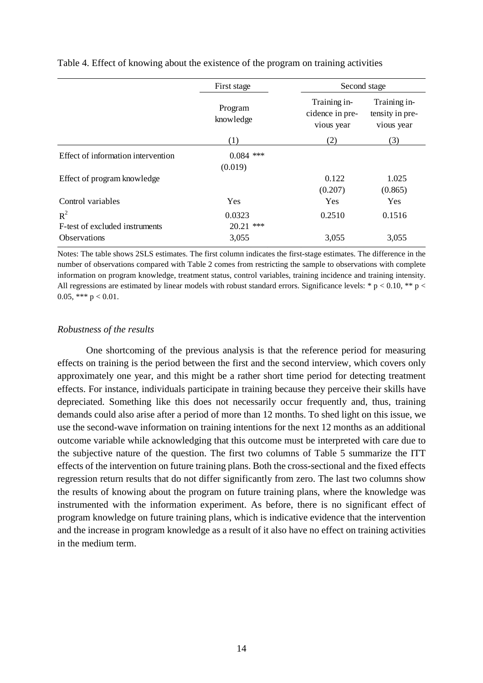|                                         | First stage            | Second stage                                  |                                               |
|-----------------------------------------|------------------------|-----------------------------------------------|-----------------------------------------------|
|                                         | Program<br>knowledge   | Training in-<br>cidence in pre-<br>vious year | Training in-<br>tensity in pre-<br>vious year |
|                                         | (1)                    | (2)                                           | (3)                                           |
| Effect of information intervention      | $0.084$ ***<br>(0.019) |                                               |                                               |
| Effect of program knowledge             |                        | 0.122<br>(0.207)                              | 1.025<br>(0.865)                              |
| Control variables                       | Yes                    | Yes                                           | Yes                                           |
| $R^2$<br>F-test of excluded instruments | 0.0323<br>$20.21$ ***  | 0.2510                                        | 0.1516                                        |
| <b>Observations</b>                     | 3,055                  | 3,055                                         | 3,055                                         |

Table 4. Effect of knowing about the existence of the program on training activities

Notes: The table shows 2SLS estimates. The first column indicates the first-stage estimates. The difference in the number of observations compared with Table 2 comes from restricting the sample to observations with complete information on program knowledge, treatment status, control variables, training incidence and training intensity. All regressions are estimated by linear models with robust standard errors. Significance levels: \*  $p < 0.10$ , \*\* p < 0.05, \*\*\*  $p < 0.01$ .

#### *Robustness of the results*

One shortcoming of the previous analysis is that the reference period for measuring effects on training is the period between the first and the second interview, which covers only approximately one year, and this might be a rather short time period for detecting treatment effects. For instance, individuals participate in training because they perceive their skills have depreciated. Something like this does not necessarily occur frequently and, thus, training demands could also arise after a period of more than 12 months. To shed light on this issue, we use the second-wave information on training intentions for the next 12 months as an additional outcome variable while acknowledging that this outcome must be interpreted with care due to the subjective nature of the question. The first two columns of Table 5 summarize the ITT effects of the intervention on future training plans. Both the cross-sectional and the fixed effects regression return results that do not differ significantly from zero. The last two columns show the results of knowing about the program on future training plans, where the knowledge was instrumented with the information experiment. As before, there is no significant effect of program knowledge on future training plans, which is indicative evidence that the intervention and the increase in program knowledge as a result of it also have no effect on training activities in the medium term.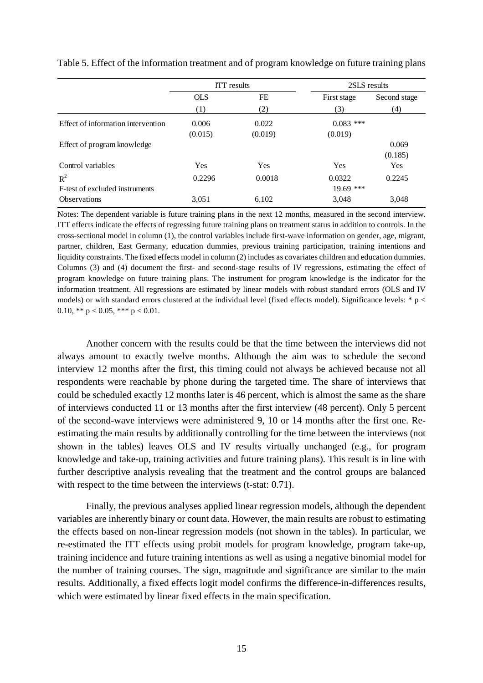|                                    |            | <b>ITT</b> results |             | 2SLS results |
|------------------------------------|------------|--------------------|-------------|--------------|
|                                    | <b>OLS</b> | FE                 | First stage | Second stage |
|                                    | (1)        | (2)                | (3)         | (4)          |
| Effect of information intervention | 0.006      | 0.022              | $0.083$ *** |              |
|                                    | (0.015)    | (0.019)            | (0.019)     |              |
| Effect of program knowledge        |            |                    |             | 0.069        |
|                                    |            |                    |             | (0.185)      |
| Control variables                  | Yes        | <b>Yes</b>         | Yes         | Yes          |
| $R^2$                              | 0.2296     | 0.0018             | 0.0322      | 0.2245       |
| F-test of excluded instruments     |            |                    | $19.69$ *** |              |
| <b>Observations</b>                | 3,051      | 6.102              | 3,048       | 3.048        |

Table 5. Effect of the information treatment and of program knowledge on future training plans

Notes: The dependent variable is future training plans in the next 12 months, measured in the second interview. ITT effects indicate the effects of regressing future training plans on treatment status in addition to controls. In the cross-sectional model in column (1), the control variables include first-wave information on gender, age, migrant, partner, children, East Germany, education dummies, previous training participation, training intentions and liquidity constraints. The fixed effects model in column (2) includes as covariates children and education dummies. Columns (3) and (4) document the first- and second-stage results of IV regressions, estimating the effect of program knowledge on future training plans. The instrument for program knowledge is the indicator for the information treatment. All regressions are estimated by linear models with robust standard errors (OLS and IV models) or with standard errors clustered at the individual level (fixed effects model). Significance levels:  $* p <$ 0.10, \*\*  $p < 0.05$ , \*\*\*  $p < 0.01$ .

Another concern with the results could be that the time between the interviews did not always amount to exactly twelve months. Although the aim was to schedule the second interview 12 months after the first, this timing could not always be achieved because not all respondents were reachable by phone during the targeted time. The share of interviews that could be scheduled exactly 12 months later is 46 percent, which is almost the same as the share of interviews conducted 11 or 13 months after the first interview (48 percent). Only 5 percent of the second-wave interviews were administered 9, 10 or 14 months after the first one. Reestimating the main results by additionally controlling for the time between the interviews (not shown in the tables) leaves OLS and IV results virtually unchanged (e.g., for program knowledge and take-up, training activities and future training plans). This result is in line with further descriptive analysis revealing that the treatment and the control groups are balanced with respect to the time between the interviews (t-stat: 0.71).

Finally, the previous analyses applied linear regression models, although the dependent variables are inherently binary or count data. However, the main results are robust to estimating the effects based on non-linear regression models (not shown in the tables). In particular, we re-estimated the ITT effects using probit models for program knowledge, program take-up, training incidence and future training intentions as well as using a negative binomial model for the number of training courses. The sign, magnitude and significance are similar to the main results. Additionally, a fixed effects logit model confirms the difference-in-differences results, which were estimated by linear fixed effects in the main specification.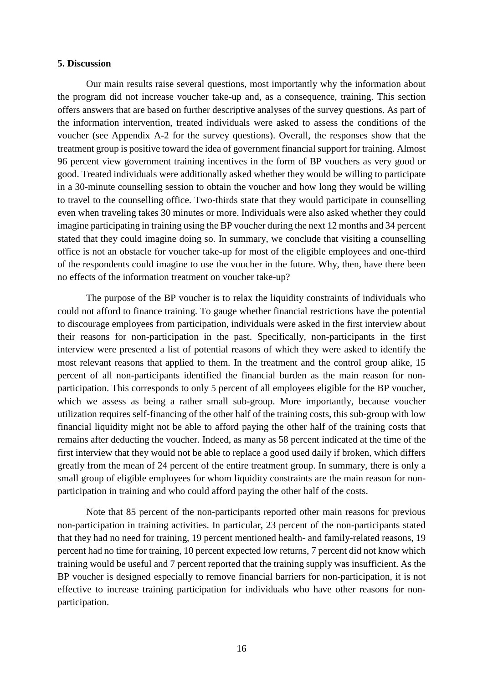#### **5. Discussion**

Our main results raise several questions, most importantly why the information about the program did not increase voucher take-up and, as a consequence, training. This section offers answers that are based on further descriptive analyses of the survey questions. As part of the information intervention, treated individuals were asked to assess the conditions of the voucher (see Appendix A-2 for the survey questions). Overall, the responses show that the treatment group is positive toward the idea of government financial support for training. Almost 96 percent view government training incentives in the form of BP vouchers as very good or good. Treated individuals were additionally asked whether they would be willing to participate in a 30-minute counselling session to obtain the voucher and how long they would be willing to travel to the counselling office. Two-thirds state that they would participate in counselling even when traveling takes 30 minutes or more. Individuals were also asked whether they could imagine participating in training using the BP voucher during the next 12 months and 34 percent stated that they could imagine doing so. In summary, we conclude that visiting a counselling office is not an obstacle for voucher take-up for most of the eligible employees and one-third of the respondents could imagine to use the voucher in the future. Why, then, have there been no effects of the information treatment on voucher take-up?

The purpose of the BP voucher is to relax the liquidity constraints of individuals who could not afford to finance training. To gauge whether financial restrictions have the potential to discourage employees from participation, individuals were asked in the first interview about their reasons for non-participation in the past. Specifically, non-participants in the first interview were presented a list of potential reasons of which they were asked to identify the most relevant reasons that applied to them. In the treatment and the control group alike, 15 percent of all non-participants identified the financial burden as the main reason for nonparticipation. This corresponds to only 5 percent of all employees eligible for the BP voucher, which we assess as being a rather small sub-group. More importantly, because voucher utilization requires self-financing of the other half of the training costs, this sub-group with low financial liquidity might not be able to afford paying the other half of the training costs that remains after deducting the voucher. Indeed, as many as 58 percent indicated at the time of the first interview that they would not be able to replace a good used daily if broken, which differs greatly from the mean of 24 percent of the entire treatment group. In summary, there is only a small group of eligible employees for whom liquidity constraints are the main reason for nonparticipation in training and who could afford paying the other half of the costs.

Note that 85 percent of the non-participants reported other main reasons for previous non-participation in training activities. In particular, 23 percent of the non-participants stated that they had no need for training, 19 percent mentioned health- and family-related reasons, 19 percent had no time for training, 10 percent expected low returns, 7 percent did not know which training would be useful and 7 percent reported that the training supply was insufficient. As the BP voucher is designed especially to remove financial barriers for non-participation, it is not effective to increase training participation for individuals who have other reasons for nonparticipation.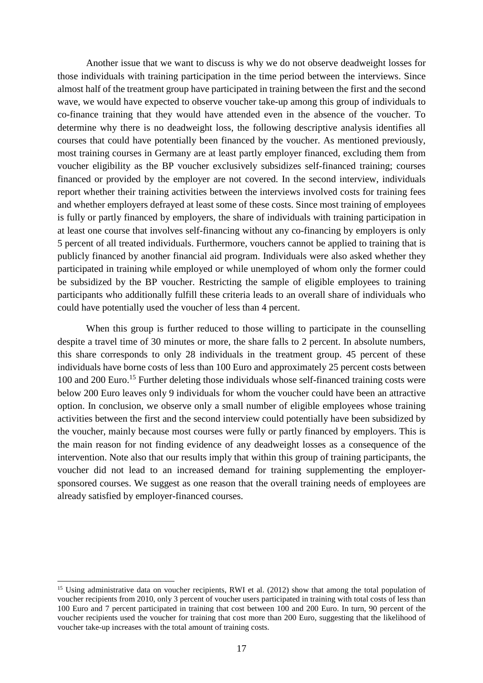Another issue that we want to discuss is why we do not observe deadweight losses for those individuals with training participation in the time period between the interviews. Since almost half of the treatment group have participated in training between the first and the second wave, we would have expected to observe voucher take-up among this group of individuals to co-finance training that they would have attended even in the absence of the voucher. To determine why there is no deadweight loss, the following descriptive analysis identifies all courses that could have potentially been financed by the voucher. As mentioned previously, most training courses in Germany are at least partly employer financed, excluding them from voucher eligibility as the BP voucher exclusively subsidizes self-financed training; courses financed or provided by the employer are not covered. In the second interview, individuals report whether their training activities between the interviews involved costs for training fees and whether employers defrayed at least some of these costs. Since most training of employees is fully or partly financed by employers, the share of individuals with training participation in at least one course that involves self-financing without any co-financing by employers is only 5 percent of all treated individuals. Furthermore, vouchers cannot be applied to training that is publicly financed by another financial aid program. Individuals were also asked whether they participated in training while employed or while unemployed of whom only the former could be subsidized by the BP voucher. Restricting the sample of eligible employees to training participants who additionally fulfill these criteria leads to an overall share of individuals who could have potentially used the voucher of less than 4 percent.

When this group is further reduced to those willing to participate in the counselling despite a travel time of 30 minutes or more, the share falls to 2 percent. In absolute numbers, this share corresponds to only 28 individuals in the treatment group. 45 percent of these individuals have borne costs of less than 100 Euro and approximately 25 percent costs between 100 and 200 Euro.<sup>15</sup> Further deleting those individuals whose self-financed training costs were below 200 Euro leaves only 9 individuals for whom the voucher could have been an attractive option. In conclusion, we observe only a small number of eligible employees whose training activities between the first and the second interview could potentially have been subsidized by the voucher, mainly because most courses were fully or partly financed by employers. This is the main reason for not finding evidence of any deadweight losses as a consequence of the intervention. Note also that our results imply that within this group of training participants, the voucher did not lead to an increased demand for training supplementing the employersponsored courses. We suggest as one reason that the overall training needs of employees are already satisfied by employer-financed courses.

l

<sup>&</sup>lt;sup>15</sup> Using administrative data on voucher recipients, RWI et al. (2012) show that among the total population of voucher recipients from 2010, only 3 percent of voucher users participated in training with total costs of less than 100 Euro and 7 percent participated in training that cost between 100 and 200 Euro. In turn, 90 percent of the voucher recipients used the voucher for training that cost more than 200 Euro, suggesting that the likelihood of voucher take-up increases with the total amount of training costs.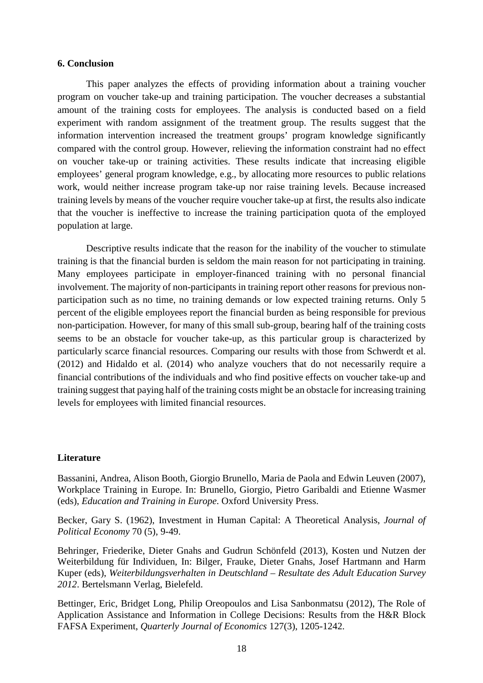#### **6. Conclusion**

This paper analyzes the effects of providing information about a training voucher program on voucher take-up and training participation. The voucher decreases a substantial amount of the training costs for employees. The analysis is conducted based on a field experiment with random assignment of the treatment group. The results suggest that the information intervention increased the treatment groups' program knowledge significantly compared with the control group. However, relieving the information constraint had no effect on voucher take-up or training activities. These results indicate that increasing eligible employees' general program knowledge, e.g., by allocating more resources to public relations work, would neither increase program take-up nor raise training levels. Because increased training levels by means of the voucher require voucher take-up at first, the results also indicate that the voucher is ineffective to increase the training participation quota of the employed population at large.

Descriptive results indicate that the reason for the inability of the voucher to stimulate training is that the financial burden is seldom the main reason for not participating in training. Many employees participate in employer-financed training with no personal financial involvement. The majority of non-participants in training report other reasons for previous nonparticipation such as no time, no training demands or low expected training returns. Only 5 percent of the eligible employees report the financial burden as being responsible for previous non-participation. However, for many of this small sub-group, bearing half of the training costs seems to be an obstacle for voucher take-up, as this particular group is characterized by particularly scarce financial resources. Comparing our results with those from Schwerdt et al. (2012) and Hidaldo et al. (2014) who analyze vouchers that do not necessarily require a financial contributions of the individuals and who find positive effects on voucher take-up and training suggest that paying half of the training costs might be an obstacle for increasing training levels for employees with limited financial resources.

#### **Literature**

Bassanini, Andrea, Alison Booth, Giorgio Brunello, Maria de Paola and Edwin Leuven (2007), Workplace Training in Europe. In: Brunello, Giorgio, Pietro Garibaldi and Etienne Wasmer (eds), *Education and Training in Europe*. Oxford University Press.

Becker, Gary S. (1962), Investment in Human Capital: A Theoretical Analysis, *Journal of Political Economy* 70 (5), 9-49.

Behringer, Friederike, Dieter Gnahs and Gudrun Schönfeld (2013), Kosten und Nutzen der Weiterbildung für Individuen, In: Bilger, Frauke, Dieter Gnahs, Josef Hartmann and Harm Kuper (eds), *Weiterbildungsverhalten in Deutschland – Resultate des Adult Education Survey 2012*. Bertelsmann Verlag, Bielefeld.

Bettinger, Eric, Bridget Long, Philip Oreopoulos and Lisa Sanbonmatsu (2012), The Role of Application Assistance and Information in College Decisions: Results from the H&R Block FAFSA Experiment, *Quarterly Journal of Economics* 127(3), 1205-1242.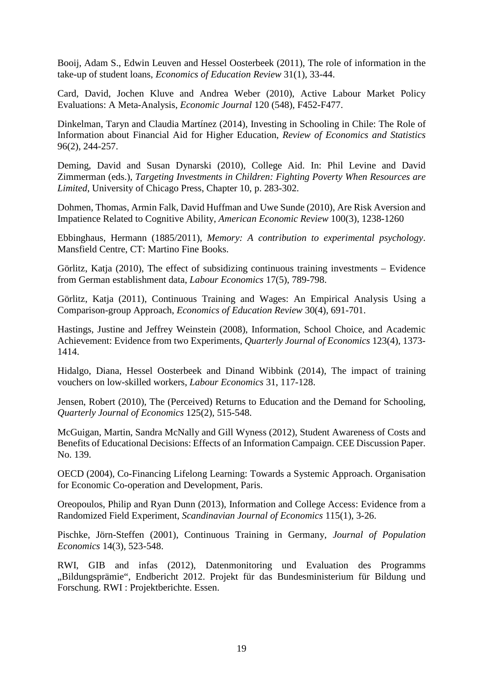Booij, Adam S., Edwin Leuven and Hessel Oosterbeek (2011), The role of information in the take-up of student loans, *Economics of Education Review* 31(1), 33-44.

Card, David, Jochen Kluve and Andrea Weber (2010), Active Labour Market Policy Evaluations: A Meta-Analysis, *Economic Journal* 120 (548), F452-F477.

Dinkelman, Taryn and Claudia Martínez (2014), Investing in Schooling in Chile: The Role of Information about Financial Aid for Higher Education, *Review of Economics and Statistics*  96(2), 244-257.

Deming, David and Susan Dynarski (2010), College Aid. In: Phil Levine and David Zimmerman (eds.), *Targeting Investments in Children: Fighting Poverty When Resources are Limited*, University of Chicago Press, Chapter 10, p. 283-302.

Dohmen, Thomas, Armin Falk, David Huffman and Uwe Sunde (2010), Are Risk Aversion and Impatience Related to Cognitive Ability, *American Economic Review* 100(3), 1238-1260

Ebbinghaus, Hermann (1885/2011), *Memory: A contribution to experimental psychology*. Mansfield Centre, CT: Martino Fine Books.

Görlitz, Katja (2010), The effect of subsidizing continuous training investments – Evidence from German establishment data, *Labour Economics* 17(5), 789-798.

Görlitz, Katja (2011), Continuous Training and Wages: An Empirical Analysis Using a Comparison-group Approach, *Economics of Education Review* 30(4), 691-701.

Hastings, Justine and Jeffrey Weinstein (2008), Information, School Choice, and Academic Achievement: Evidence from two Experiments, *Quarterly Journal of Economics* 123(4), 1373- 1414.

Hidalgo, Diana, Hessel Oosterbeek and Dinand Wibbink (2014), The impact of training vouchers on low-skilled workers, *Labour Economics* 31, 117-128.

Jensen, Robert (2010), The (Perceived) Returns to Education and the Demand for Schooling, *Quarterly Journal of Economics* 125(2), 515-548.

McGuigan, Martin, Sandra McNally and Gill Wyness (2012), Student Awareness of Costs and Benefits of Educational Decisions: Effects of an Information Campaign. CEE Discussion Paper. No. 139.

OECD (2004), Co-Financing Lifelong Learning: Towards a Systemic Approach. Organisation for Economic Co-operation and Development, Paris.

Oreopoulos, Philip and Ryan Dunn (2013), Information and College Access: Evidence from a Randomized Field Experiment, *Scandinavian Journal of Economics* 115(1), 3-26.

Pischke, Jörn-Steffen (2001), Continuous Training in Germany, *Journal of Population Economics* 14(3), 523-548.

RWI, GIB and infas (2012), Datenmonitoring und Evaluation des Programms "Bildungsprämie", Endbericht 2012. Projekt für das Bundesministerium für Bildung und Forschung. RWI : Projektberichte. Essen.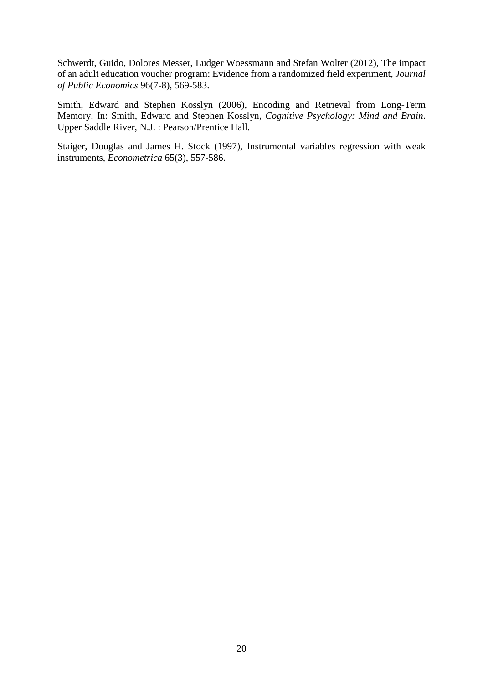Schwerdt, Guido, Dolores Messer, Ludger Woessmann and Stefan Wolter (2012), The impact of an adult education voucher program: Evidence from a randomized field experiment, *Journal of Public Economics* 96(7-8), 569-583.

Smith, Edward and Stephen Kosslyn (2006), Encoding and Retrieval from Long-Term Memory. In: Smith, Edward and Stephen Kosslyn, *Cognitive Psychology: Mind and Brain*. Upper Saddle River, N.J. : Pearson/Prentice Hall.

Staiger, Douglas and James H. Stock (1997), Instrumental variables regression with weak instruments, *Econometrica* 65(3), 557-586.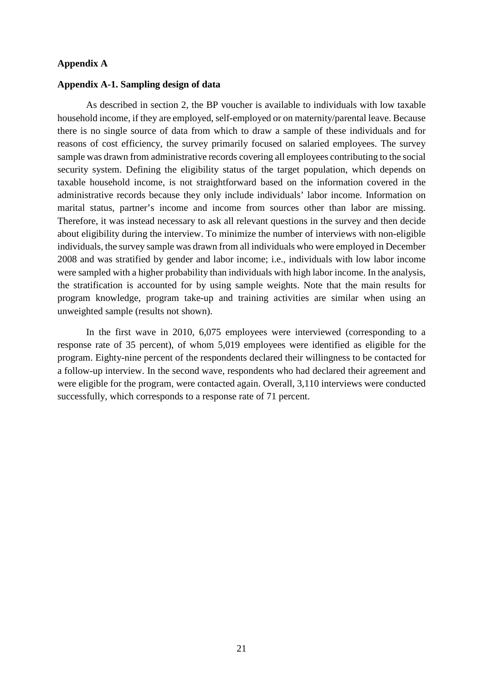#### **Appendix A**

#### **Appendix A-1. Sampling design of data**

As described in section 2, the BP voucher is available to individuals with low taxable household income, if they are employed, self-employed or on maternity/parental leave. Because there is no single source of data from which to draw a sample of these individuals and for reasons of cost efficiency, the survey primarily focused on salaried employees. The survey sample was drawn from administrative records covering all employees contributing to the social security system. Defining the eligibility status of the target population, which depends on taxable household income, is not straightforward based on the information covered in the administrative records because they only include individuals' labor income. Information on marital status, partner's income and income from sources other than labor are missing. Therefore, it was instead necessary to ask all relevant questions in the survey and then decide about eligibility during the interview. To minimize the number of interviews with non-eligible individuals, the survey sample was drawn from all individuals who were employed in December 2008 and was stratified by gender and labor income; i.e., individuals with low labor income were sampled with a higher probability than individuals with high labor income. In the analysis, the stratification is accounted for by using sample weights. Note that the main results for program knowledge, program take-up and training activities are similar when using an unweighted sample (results not shown).

In the first wave in 2010, 6,075 employees were interviewed (corresponding to a response rate of 35 percent), of whom 5,019 employees were identified as eligible for the program. Eighty-nine percent of the respondents declared their willingness to be contacted for a follow-up interview. In the second wave, respondents who had declared their agreement and were eligible for the program, were contacted again. Overall, 3,110 interviews were conducted successfully, which corresponds to a response rate of 71 percent.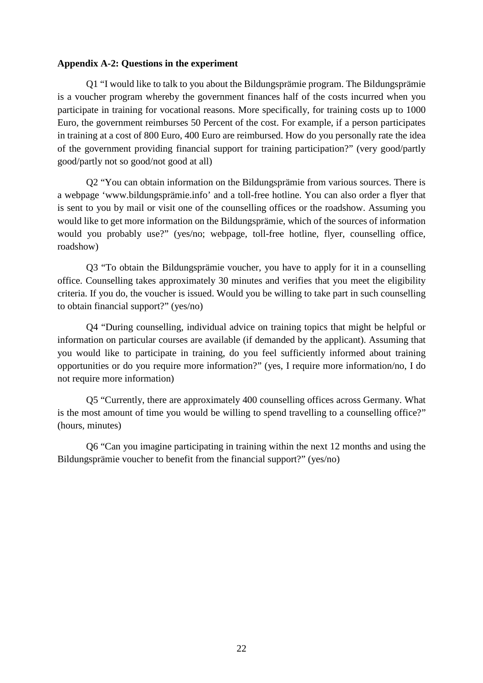#### **Appendix A-2: Questions in the experiment**

Q1 "I would like to talk to you about the Bildungsprämie program. The Bildungsprämie is a voucher program whereby the government finances half of the costs incurred when you participate in training for vocational reasons. More specifically, for training costs up to 1000 Euro, the government reimburses 50 Percent of the cost. For example, if a person participates in training at a cost of 800 Euro, 400 Euro are reimbursed. How do you personally rate the idea of the government providing financial support for training participation?" (very good/partly good/partly not so good/not good at all)

Q2 "You can obtain information on the Bildungsprämie from various sources. There is a webpage 'www.bildungsprämie.info' and a toll-free hotline. You can also order a flyer that is sent to you by mail or visit one of the counselling offices or the roadshow. Assuming you would like to get more information on the Bildungsprämie, which of the sources of information would you probably use?" (yes/no; webpage, toll-free hotline, flyer, counselling office, roadshow)

Q3 "To obtain the Bildungsprämie voucher, you have to apply for it in a counselling office. Counselling takes approximately 30 minutes and verifies that you meet the eligibility criteria. If you do, the voucher is issued. Would you be willing to take part in such counselling to obtain financial support?" (yes/no)

Q4 "During counselling, individual advice on training topics that might be helpful or information on particular courses are available (if demanded by the applicant). Assuming that you would like to participate in training, do you feel sufficiently informed about training opportunities or do you require more information?" (yes, I require more information/no, I do not require more information)

Q5 "Currently, there are approximately 400 counselling offices across Germany. What is the most amount of time you would be willing to spend travelling to a counselling office?" (hours, minutes)

Q6 "Can you imagine participating in training within the next 12 months and using the Bildungsprämie voucher to benefit from the financial support?" (yes/no)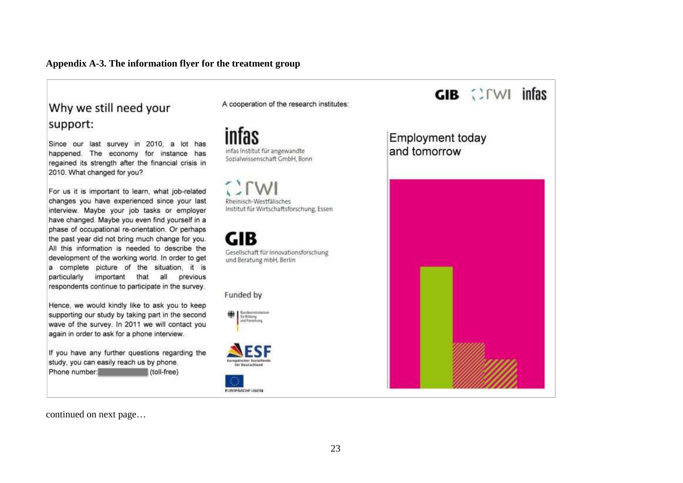#### **Appendix A-3. The information flyer for the treatment group**

## Why we still need your support:

Since our last survey in 2010, a lot has happened. The economy for instance has regained its strength after the financial crisis in 2010. What changed for you?

For us it is important to learn, what job-related changes you have experienced since your last interview. Maybe your job tasks or employer have changed. Maybe you even find yourself in a phase of occupational re-orientation. Or perhaps the past year did not bring much change for you. All this information is needed to describe the development of the working world. In order to get a complete picture of the situation, it is particularly important that all previous respondents continue to participate in the survey.

Hence, we would kindly like to ask you to keep supporting our study by taking part in the second wave of the survey. In 2011 we will contact you again in order to ask for a phone interview.

If you have any further questions regarding the study, you can easily reach us by phone. Phone number. (toll-free)

A cooperation of the research institutes:

infas infas Institut für angewandte Sozialwissenschaft GmbH, Bonn

Rheinisch-Westfalisches Institut für Wirtschaftsforschung, Essen

**GIB** Gesellschaft für Innovationsforschung und Beratung mbH, Berlin

Funded by

**OR** Septemberg

**Europäischer Socialism** 

FUROPÄIRCHE UNICIN



continued on next page…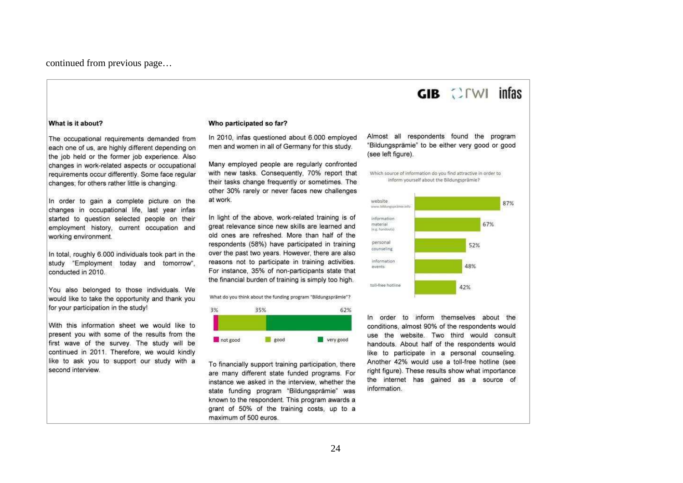continued from previous page…

#### What is it about?

The occupational requirements demanded from each one of us, are highly different depending on the job held or the former job experience. Also changes in work-related aspects or occupational requirements occur differently. Some face reqular changes; for others rather little is changing.

In order to gain a complete picture on the changes in occupational life. last year infas started to question selected people on their employment history, current occupation and working environment.

In total, roughly 6.000 individuals took part in the study "Employment today and tomorrow", conducted in 2010.

You also belonged to those individuals. We would like to take the opportunity and thank you for your participation in the study!

With this information sheet we would like to present you with some of the results from the first wave of the survey. The study will be continued in 2011. Therefore, we would kindly like to ask you to support our study with a second interview.

#### Who participated so far?

In 2010, infas questioned about 6,000 employed men and women in all of Germany for this study.

Many employed people are regularly confronted with new tasks. Consequently, 70% report that their tasks change frequently or sometimes. The other 30% rarely or never faces new challenges at work.

In light of the above, work-related training is of great relevance since new skills are learned and old ones are refreshed. More than half of the respondents (58%) have participated in training over the past two years. However, there are also reasons not to participate in training activities. For instance, 35% of non-participants state that the financial burden of training is simply too high.

What do you think about the funding program "Bildungsprämie"?



To financially support training participation, there are many different state funded programs. For instance we asked in the interview, whether the state funding program "Bildungsprämie" was known to the respondent. This program awards a grant of 50% of the training costs, up to a maximum of 500 euros.

Almost all respondents found the program "Bildungsprämie" to be either very good or good (see left figure).

 $GIB$   $CFWI$  infas

Which source of information do you find attractive in order to inform yourself about the Bildungsprämie?



In order to inform themselves about the conditions, almost 90% of the respondents would use the website. Two third would consult handouts. About half of the respondents would like to participate in a personal counseling. Another 42% would use a toll-free hotline (see right figure). These results show what importance the internet has gained as a source of information.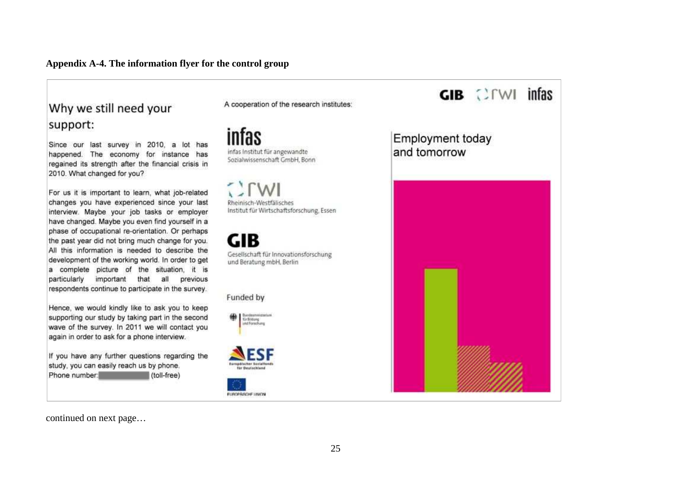#### **Appendix A-4. The information flyer for the control group**

## Why we still need your support:

Since our last survey in 2010, a lot has happened. The economy for instance has regained its strength after the financial crisis in 2010. What changed for you?

For us it is important to learn, what job-related changes you have experienced since your last interview. Maybe your job tasks or employer have changed. Maybe you even find yourself in a phase of occupational re-orientation. Or perhaps the past year did not bring much change for you. All this information is needed to describe the development of the working world. In order to get a complete picture of the situation, it is particularly important that all previous respondents continue to participate in the survey.

Hence, we would kindly like to ask you to keep supporting our study by taking part in the second wave of the survey. In 2011 we will contact you again in order to ask for a phone interview.

If you have any further questions regarding the study, you can easily reach us by phone. Phone number. (toll-free)

A cooperation of the research institutes:

infas infas Institut für angewandte Sozialwissenschaft GmbH, Bonn

Rheinisch-Westfalisches Institut für Wirtschaftsforschung, Essen

GIB Gesellschaft für Innovationsforschung und Beratung mbH, Berlin

Funded by

**OR** Sentesmisterium







continued on next page…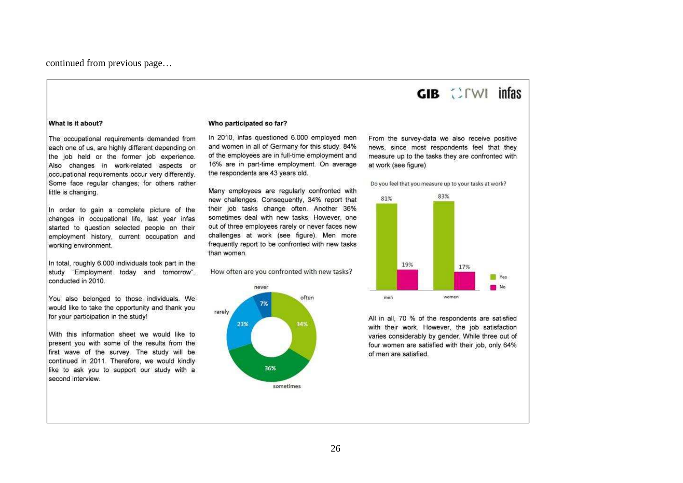continued from previous page…

# $GIB$   $CFWI$  infas

#### What is it about?

The occupational requirements demanded from each one of us, are highly different depending on the job held or the former job experience. Also changes in work-related aspects or occupational requirements occur very differently. Some face regular changes; for others rather little is changing.

In order to gain a complete picture of the changes in occupational life. last year infas started to question selected people on their employment history, current occupation and working environment.

In total, roughly 6.000 individuals took part in the study "Employment today and tomorrow", conducted in 2010.

You also belonged to those individuals. We would like to take the opportunity and thank you for your participation in the study!

With this information sheet we would like to present you with some of the results from the first wave of the survey. The study will be continued in 2011. Therefore, we would kindly like to ask you to support our study with a second interview

#### Who participated so far?

In 2010, infas questioned 6,000 employed men and women in all of Germany for this study. 84% of the employees are in full-time employment and 16% are in part-time employment. On average the respondents are 43 years old.

Many employees are regularly confronted with new challenges. Consequently, 34% report that their job tasks change often. Another 36% sometimes deal with new tasks. However, one out of three employees rarely or never faces new challenges at work (see figure). Men more frequently report to be confronted with new tasks than women.

How often are you confronted with new tasks?



From the survey-data we also receive positive news, since most respondents feel that they measure up to the tasks they are confronted with at work (see figure)

Do you feel that you measure up to your tasks at work?



All in all, 70 % of the respondents are satisfied with their work. However, the job satisfaction varies considerably by gender. While three out of four women are satisfied with their job, only 64% of men are satisfied.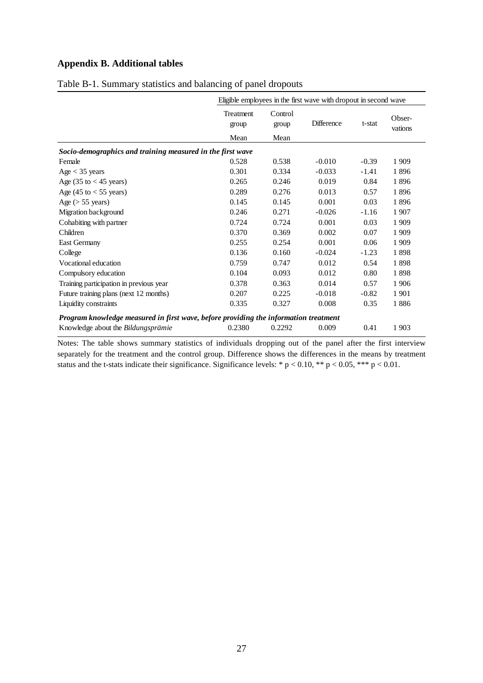### **Appendix B. Additional tables**

|                                                                                      |                                   |                          | Eligible employees in the first wave with dropout in second wave |         |                   |
|--------------------------------------------------------------------------------------|-----------------------------------|--------------------------|------------------------------------------------------------------|---------|-------------------|
|                                                                                      | <b>Treatment</b><br>group<br>Mean | Control<br>group<br>Mean | <b>Difference</b>                                                | t-stat  | Obser-<br>vations |
|                                                                                      |                                   |                          |                                                                  |         |                   |
| Socio-demographics and training measured in the first wave                           |                                   |                          |                                                                  |         |                   |
| Female                                                                               | 0.528                             | 0.538                    | $-0.010$                                                         | $-0.39$ | 1909              |
| $Age < 35$ years                                                                     | 0.301                             | 0.334                    | $-0.033$                                                         | $-1.41$ | 1896              |
| Age $(35 \text{ to } < 45 \text{ years})$                                            | 0.265                             | 0.246                    | 0.019                                                            | 0.84    | 1896              |
| Age $(45 \text{ to } < 55 \text{ years})$                                            | 0.289                             | 0.276                    | 0.013                                                            | 0.57    | 1896              |
| Age ( $> 55$ years)                                                                  | 0.145                             | 0.145                    | 0.001                                                            | 0.03    | 1896              |
| Migration background                                                                 | 0.246                             | 0.271                    | $-0.026$                                                         | $-1.16$ | 1907              |
| Cohabiting with partner                                                              | 0.724                             | 0.724                    | 0.001                                                            | 0.03    | 1 9 0 9           |
| Children                                                                             | 0.370                             | 0.369                    | 0.002                                                            | 0.07    | 1909              |
| <b>East Germany</b>                                                                  | 0.255                             | 0.254                    | 0.001                                                            | 0.06    | 1909              |
| College                                                                              | 0.136                             | 0.160                    | $-0.024$                                                         | $-1.23$ | 1898              |
| Vocational education                                                                 | 0.759                             | 0.747                    | 0.012                                                            | 0.54    | 1898              |
| Compulsory education                                                                 | 0.104                             | 0.093                    | 0.012                                                            | 0.80    | 1898              |
| Training participation in previous year                                              | 0.378                             | 0.363                    | 0.014                                                            | 0.57    | 1906              |
| Future training plans (next 12 months)                                               | 0.207                             | 0.225                    | $-0.018$                                                         | $-0.82$ | 1901              |
| Liquidity constraints                                                                | 0.335                             | 0.327                    | 0.008                                                            | 0.35    | 1886              |
| Program knowledge measured in first wave, before providing the information treatment |                                   |                          |                                                                  |         |                   |
| Knowledge about the <i>Bildungsprämie</i>                                            | 0.2380                            | 0.2292                   | 0.009                                                            | 0.41    | 1903              |

#### Table B-1. Summary statistics and balancing of panel dropouts

Notes: The table shows summary statistics of individuals dropping out of the panel after the first interview separately for the treatment and the control group. Difference shows the differences in the means by treatment status and the t-stats indicate their significance. Significance levels: \* p < 0.10, \*\* p < 0.05, \*\*\* p < 0.01.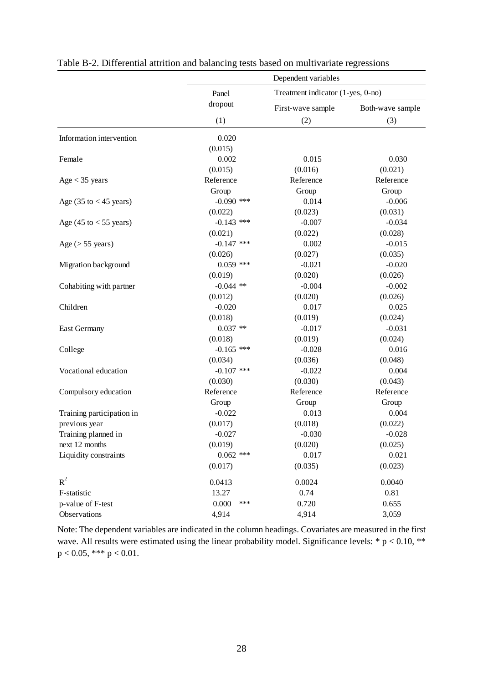|                                           | Dependent variables |                                   |                  |  |  |
|-------------------------------------------|---------------------|-----------------------------------|------------------|--|--|
|                                           | Panel               | Treatment indicator (1-yes, 0-no) |                  |  |  |
|                                           | dropout             | First-wave sample                 | Both-wave sample |  |  |
|                                           | (1)                 | (2)                               | (3)              |  |  |
| Information intervention                  | 0.020               |                                   |                  |  |  |
|                                           | (0.015)             |                                   |                  |  |  |
| Female                                    | 0.002               | 0.015                             | 0.030            |  |  |
|                                           | (0.015)             | (0.016)                           | (0.021)          |  |  |
| $Age < 35$ years                          | Reference           | Reference                         | Reference        |  |  |
|                                           | Group               | Group                             | Group            |  |  |
| Age $(35 \text{ to } < 45 \text{ years})$ | $-0.090$ ***        | 0.014                             | $-0.006$         |  |  |
|                                           | (0.022)             | (0.023)                           | (0.031)          |  |  |
| Age $(45 \text{ to } < 55 \text{ years})$ | $-0.143$ ***        | $-0.007$                          | $-0.034$         |  |  |
|                                           | (0.021)             | (0.022)                           | (0.028)          |  |  |
| Age ( $> 55$ years)                       | $-0.147$ ***        | 0.002                             | $-0.015$         |  |  |
|                                           | (0.026)             | (0.027)                           | (0.035)          |  |  |
| Migration background                      | $0.059$ ***         | $-0.021$                          | $-0.020$         |  |  |
|                                           | (0.019)             | (0.020)                           | (0.026)          |  |  |
| Cohabiting with partner                   | $-0.044$ **         | $-0.004$                          | $-0.002$         |  |  |
|                                           | (0.012)             | (0.020)                           | (0.026)          |  |  |
| Children                                  | $-0.020$            | 0.017                             | 0.025            |  |  |
|                                           | (0.018)             | (0.019)                           | (0.024)          |  |  |
| <b>East Germany</b>                       | $0.037**$           | $-0.017$                          | $-0.031$         |  |  |
|                                           | (0.018)             | (0.019)                           | (0.024)          |  |  |
| College                                   | $-0.165$ ***        | $-0.028$                          | 0.016            |  |  |
|                                           | (0.034)             | (0.036)                           | (0.048)          |  |  |
| Vocational education                      | $-0.107$ ***        | $-0.022$                          | 0.004            |  |  |
|                                           | (0.030)             | (0.030)                           | (0.043)          |  |  |
| Compulsory education                      | Reference           | Reference                         | Reference        |  |  |
|                                           | Group               | Group                             | Group            |  |  |
| Training participation in                 | $-0.022$            | 0.013                             | 0.004            |  |  |
| previous year                             | (0.017)             | (0.018)                           | (0.022)          |  |  |
| Training planned in                       | $-0.027$            | $-0.030$                          | $-0.028$         |  |  |
| next 12 months                            | (0.019)             | (0.020)                           | (0.025)          |  |  |
| Liquidity constraints                     | $0.062$ ***         | 0.017                             | 0.021            |  |  |
|                                           | (0.017)             | (0.035)                           | (0.023)          |  |  |
| $R^2$                                     | 0.0413              | 0.0024                            | 0.0040           |  |  |
| F-statistic                               | 13.27               | 0.74                              | 0.81             |  |  |
| p-value of F-test                         | 0.000<br>***        | 0.720                             | 0.655            |  |  |
| Observations                              | 4,914               | 4,914                             | 3,059            |  |  |

Table B-2. Differential attrition and balancing tests based on multivariate regressions

Note: The dependent variables are indicated in the column headings. Covariates are measured in the first wave. All results were estimated using the linear probability model. Significance levels: \*  $p < 0.10$ , \*\*  $p < 0.05$ , \*\*\*  $p < 0.01$ .